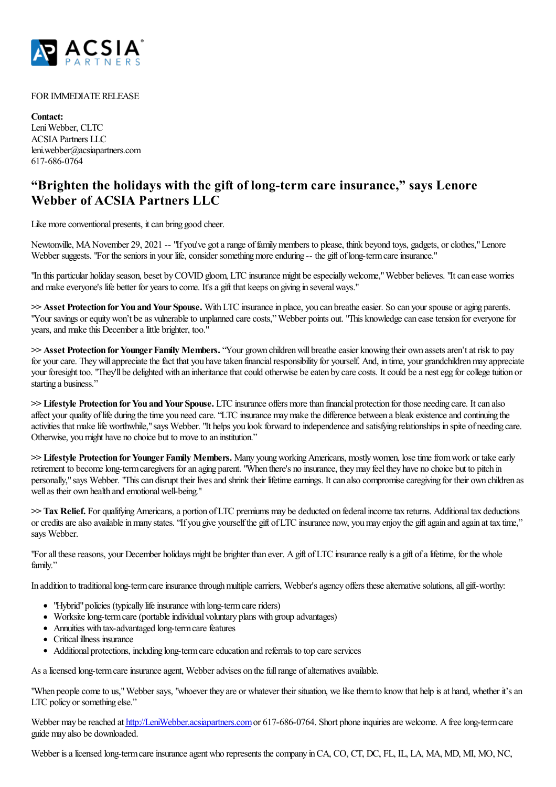

## FOR IMMEDIATE RELEASE

**Contact:** Leni Webber, CLTC ACSIAPartners LLC leni.webber@acsiapartners.com 617-686-0764

## **"Brighten the holidays with the gift of long-term care insurance, " says Lenore Webber of ACSIA Partners LLC**

Like more conventional presents, it can bring good cheer.

Newtonville, MA November 29, 2021 -- "If you've got a range of family members to please, think beyond toys, gadgets, or clothes," Lenore Webber suggests. "For the seniors in your life, consider something more enduring -- the gift of long-term care insurance."

"In this particular holiday season, beset by COVID gloom, LTC insurance might be especially welcome," Webber believes. "It can ease worries and make everyone's life better for years to come. It's a gift that keeps on giving in several ways."

 $\gg$  **Asset Protection for You and Your Spouse.** With LTC insurance in place, you can breathe easier. So can your spouse or aging parents. "Your savings or equity won't be as vulnerable to unplanned care costs," Webber points out. "This knowledge can ease tension for everyone for years, and make this December a little brighter, too."

>> **Asset Protection for Younger Family Members.** "Your grown children will breathe easier knowing their own assets aren't at risk to pay for your care. They will appreciate the fact that you have taken financial responsibility for yourself. And, in time, your grandchildren may appreciate your foresight too. "They'll be delighted with an inheritance that could otherwise be eaten by care costs. It could be a nest egg for college tuition or starting a business."

 $\gg$  **Lifestyle** Protection for You and Your Spouse. LTC insurance offers more than financial protection for those needing care. It can also affect your quality of life during the time you need care. "LTC insurance may make the difference between a bleak existence and continuing the activities that make life worthwhile," says Webber. "It helps you look forward to independence and satisfying relationships in spite of needing care. Otherwise, you might have no choice but to move to an institution."

>> Lifestyle Protection for Younger Family Members. Many young working Americans, mostly women, lose time from work or take early retirement to become long-term caregivers for an aging parent. "When there's no insurance, they may feel they have no choice but to pitch in personally," says Webber. "This can disrupt their lives and shrink their lifetime earnings. It can also compromise caregiving for their own children as well as their own health and emotional well-being."

 $\gg$  **Tax Relief.** For qualifying Americans, a portion of LTC premiums may be deducted on federal income tax returns. Additional tax deductions or credits are also available in many states. "If you give yourself the gift of LTC insurance now, you may enjoy the gift again and again at tax time," says Webber.

"For all these reasons, your December holidays might be brighter than ever. A gift of LTC insurance really is a gift of a lifetime, for the whole family."

In addition to traditional long-term care insurance through multiple carriers, Webber's agency offers these alternative solutions, all gift-worthy:

- "Hybrid" policies (typically life insurance with long-term care riders)
- Worksite long-term care (portable individual voluntary plans with group advantages)
- Annuities with tax-advantaged long-term care features
- Critical illness insurance
- Additional protections, including long-term care education and referrals to top care services

As a licensed long-term care insurance agent, Webber advises on the full range of alternatives available.

"When people come to us," Webber says, "whoever they are or whatever their situation, we like them to know that help is at hand, whether it's an LTC policy or something else."

Webber may be reached at [http://LeniWebber.acsiapartners.com](http://leniwebber.acsiapartners.com) or 617-686-0764. Short phone inquiries are welcome. A free long-term care guide may also be downloaded.

Webber is a licensed long-term care insurance agent who represents the company in CA, CO, CT, DC, FL, IL, LA, MA, MD, MI, MO, NC,